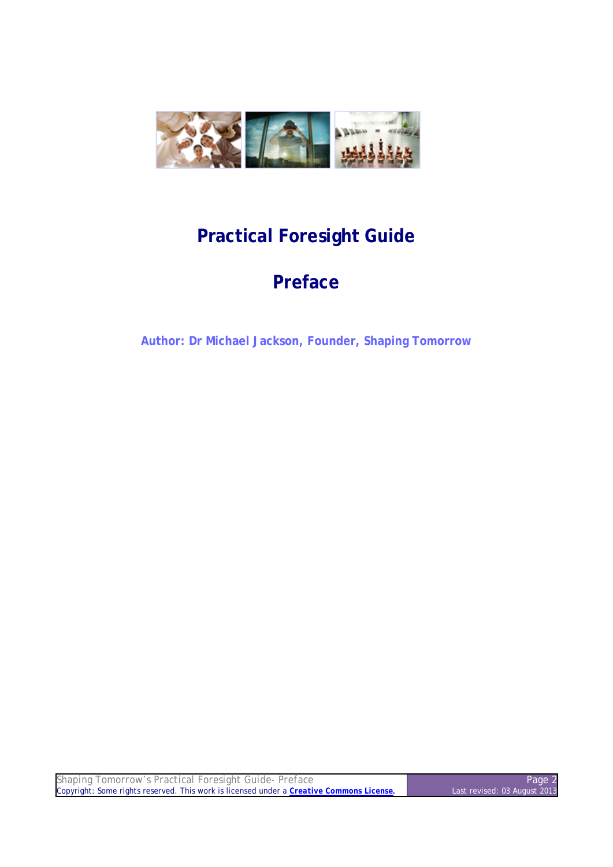

# **Practical Foresight Guide**

# **Preface**

**Author: Dr Michael Jackson, Founder, Shaping Tomorrow**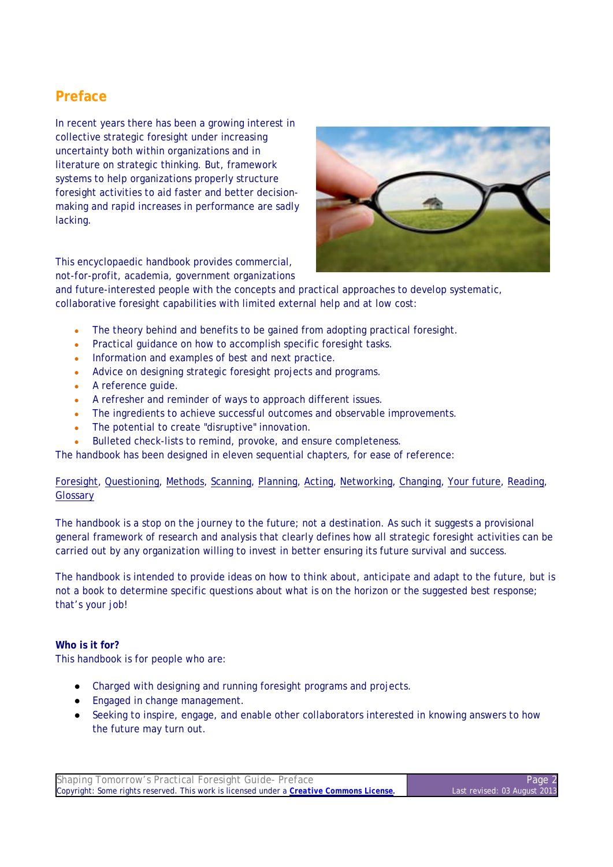## **Preface**

In recent years there has been a growing interest in collective strategic foresight under increasing uncertainty both within organizations and in literature on strategic thinking. But, framework systems to help organizations properly structure foresight activities to aid faster and better decisionmaking and rapid increases in performance are sadly lacking.





and future-interested people with the concepts and practical approaches to develop systematic, collaborative foresight capabilities with limited external help and at low cost:

- The theory behind and benefits to be gained from adopting practical foresight.
- Practical guidance on how to accomplish specific foresight tasks.
- Information and examples of best and next practice.
- Advice on designing strategic foresight projects and programs.
- A reference guide.
- A refresher and reminder of ways to approach different issues.
- The ingredients to achieve successful outcomes and observable improvements.
- The potential to create "disruptive" innovation.
- Bulleted check-lists to remind, provoke, and ensure completeness.

The handbook has been designed in eleven sequential chapters, for ease of reference:

### Foresight, Questioning, Methods, Scanning, Planning, Acting, Networking, Changing, Your future, Reading, **Glossary**

The handbook is a stop on the journey to the future; not a destination. As such it suggests a provisional general framework of research and analysis that clearly defines how all strategic foresight activities can be carried out by any organization willing to invest in better ensuring its future survival and success.

The handbook is intended to provide ideas on how to think about, anticipate and adapt to the future, but is not a book to determine specific questions about what is on the horizon or the suggested best response; that's your job!

### **Who is it for?**

This handbook is for people who are:

- Charged with designing and running foresight programs and projects.
- Engaged in change management.
- Seeking to inspire, engage, and enable other collaborators interested in knowing answers to how the future may turn out.